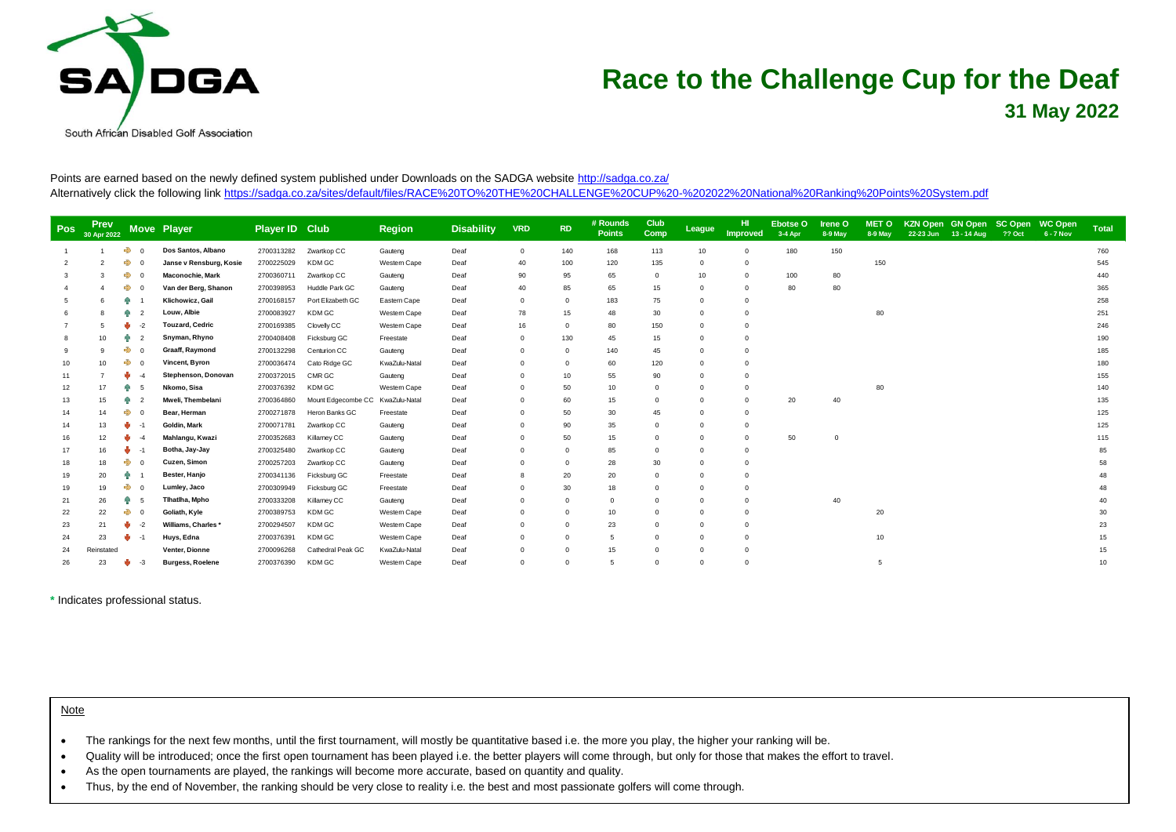

## **Race to the Challenge Cup for the Deaf 31 May 2022**

Points are earned based on the newly defined system published under Downloads on the SADGA websit[e http://sadga.co.za/](http://sadga.co.za/) Alternatively click the following lin[k https://sadga.co.za/sites/default/files/RACE%20TO%20THE%20CHALLENGE%20CUP%20-%202022%20National%20Ranking%20Points%20System.pdf](https://sadga.co.za/sites/default/files/RACE%20TO%20THE%20CHALLENGE%20CUP%20-%202022%20National%20Ranking%20Points%20System.pdf)

| <b>Pos</b> | Prev<br>30 Apr 2022 |               | Move Player             | Player ID Club |                                  | <b>Region</b> | <b>Disability</b> | <b>VRD</b> | <b>RD</b>  | # Rounds<br><b>Points</b> | Club<br>Comp | League   | HI<br>Improved | Ebotse O<br>3-4 Apr | <b>Irene O</b><br>8-9 May | <b>MET O</b><br>8-9 May | KZN Open GN Open SC Open WC Open<br>22-23 Jun 13 - 14 Aug | <b>22 Oct</b> | $6 - 7$ Nov | <b>Total</b> |
|------------|---------------------|---------------|-------------------------|----------------|----------------------------------|---------------|-------------------|------------|------------|---------------------------|--------------|----------|----------------|---------------------|---------------------------|-------------------------|-----------------------------------------------------------|---------------|-------------|--------------|
|            |                     | $\rightarrow$ | Dos Santos, Albano      | 2700313282     | Zwartkop CC                      | Gauteng       | Deaf              | $\Omega$   | 140        | 168                       | 113          | 10       | $\Omega$       | 180                 | 150                       |                         |                                                           |               |             | 760          |
|            |                     | ♣             | Janse v Rensburg, Kosie | 2700225029     | <b>KDM GC</b>                    | Western Cape  | Deaf              | 40         | 100        | 120                       | 135          | $\Omega$ | $\Omega$       |                     |                           | 150                     |                                                           |               |             | 545          |
|            |                     | $\Rightarrow$ | Maconochie, Mark        | 2700360711     | Zwartkop CC                      | Gauteng       | Deaf              | 90         | 95         | 65                        | $\mathbf 0$  | 10       | $\Omega$       | 100                 | 80                        |                         |                                                           |               |             | 440          |
|            |                     | ♣             | Van der Berg, Shanon    | 2700398953     | Huddle Park GC                   | Gauteng       | Deaf              | 40         | 85         | 65                        | 15           | $\Omega$ | $\Omega$       | 80                  | 80                        |                         |                                                           |               |             | 365          |
|            |                     |               | Klichowicz, Gail        | 2700168157     | Port Elizabeth GC                | Eastern Cape  | Deaf              | $\Omega$   | $^{\circ}$ | 183                       | 75           | $\Omega$ | $\Omega$       |                     |                           |                         |                                                           |               |             | 258          |
|            |                     | 帶             | Louw, Albie             | 2700083927     | KDM GC                           | Western Cape  | Deaf              | 78         | 15         | 48                        | 30           | $\Omega$ | $\Omega$       |                     |                           | 80                      |                                                           |               |             | 251          |
|            |                     |               | <b>Touzard, Cedric</b>  | 2700169385     | Clovelly CC                      | Western Cape  | Deaf              | 16         | $\Omega$   | 80                        | 150          |          | $\Omega$       |                     |                           |                         |                                                           |               |             | 246          |
|            | 10                  |               | Snyman, Rhyno           | 2700408408     | Ficksburg GC                     | Freestate     | Deaf              | $\Omega$   | 130        | 45                        | 15           |          | $\Omega$       |                     |                           |                         |                                                           |               |             | 190          |
|            |                     | $\rightarrow$ | Graaff, Raymond         | 2700132298     | Centurion CC                     | Gauteng       | Deaf              | $\Omega$   | $^{\circ}$ | 140                       | 45           | $\Omega$ | $\Omega$       |                     |                           |                         |                                                           |               |             | 185          |
|            | 10                  |               | Vincent, Byron          | 2700036474     | Cato Ridge GC                    | KwaZulu-Natal | Deaf              | $\Omega$   | $^{\circ}$ | 60                        | 120          |          | $\Omega$       |                     |                           |                         |                                                           |               |             | 180          |
|            |                     |               | Stephenson, Donovan     | 2700372015     | CMR GC                           | Gauteng       | Deaf              | $\Omega$   | 10         | 55                        | 90           |          | $\Omega$       |                     |                           |                         |                                                           |               |             | 155          |
| 12         | 17                  | 帶             | Nkomo, Sisa             | 2700376392     | <b>KDM GC</b>                    | Western Cape  | Deaf              | $\Omega$   | 50         | 10                        | $\mathbf 0$  | $\Omega$ |                |                     |                           | 80                      |                                                           |               |             | 140          |
| 13         | 15                  | 府             | Mweli, Thembelani       | 2700364860     | Mount Edgecombe CC KwaZulu-Natal |               | Deaf              | $\Omega$   | 60         | 15                        | 0            |          | $\Omega$       | 20                  | 40                        |                         |                                                           |               |             | 135          |
| 14         | 14                  | ♣             | Bear, Herman            | 2700271878     | Heron Banks GC                   | Freestate     | Deaf              | $\Omega$   | 50         | 30                        | 45           |          | $\Omega$       |                     |                           |                         |                                                           |               |             | 125          |
| 14         | 13                  |               | Goldin, Mark            | 2700071781     | Zwartkop CC                      | Gauteng       | Deaf              | $\Omega$   | 90         | 35                        | $\Omega$     | $\Omega$ | $\Omega$       |                     |                           |                         |                                                           |               |             | 125          |
|            | 12                  |               | Mahlangu, Kwazi         | 2700352683     | Killarney CC                     | Gauteng       | Deaf              | $\Omega$   | 50         | 15                        |              |          | $\Omega$       | 50                  | $\Omega$                  |                         |                                                           |               |             | 115          |
| 17         | 16                  | $-1$          | Botha, Jay-Jay          | 2700325480     | Zwartkop CC                      | Gauteng       | Deaf              | $\Omega$   | $\Omega$   | 85                        | O            |          | $\Omega$       |                     |                           |                         |                                                           |               |             | 85           |
|            | 18                  | ♣             | Cuzen, Simon            | 2700257203     | Zwartkop CC                      | Gauteng       | Deaf              | $\Omega$   | $\Omega$   | 28                        | 30           |          | $\Omega$       |                     |                           |                         |                                                           |               |             | 58           |
|            | 20                  | 府             | Bester, Hanjo           | 2700341136     | Ficksburg GC                     | Freestate     | Deaf              | 8          | 20         | 20                        |              |          | $\Omega$       |                     |                           |                         |                                                           |               |             | 48           |
|            | 19                  | ➾             | Lumley, Jaco            | 2700309949     | Ficksburg GC                     | Freestate     | Deaf              | $\Omega$   | 30         | 18                        | O            |          | $\Omega$       |                     |                           |                         |                                                           |               |             |              |
| 21         | 26                  |               | Tihatiha, Mpho          | 2700333208     | Killarney CC                     | Gauteng       | Deaf              | $\Omega$   | $\Omega$   |                           |              |          | $\Omega$       |                     | 40                        |                         |                                                           |               |             | 40           |
| 22         | 22                  | ♣             | Goliath, Kyle           | 2700389753     | KDM GC                           | Western Cape  | Deaf              | $\Omega$   | $\Omega$   | 10                        |              |          |                |                     |                           | 20                      |                                                           |               |             | 30           |
| 23         | 21                  | $-2$<br>w     | Williams, Charles*      | 2700294507     | KDM GC                           | Western Cape  | Deaf              | $\Omega$   | $\Omega$   | 23                        |              |          | $\Omega$       |                     |                           |                         |                                                           |               |             | 23           |
| 24         | 23                  | w<br>$-1$     | Huys, Edna              | 2700376391     | KDM GC                           | Western Cape  | Deaf              | $\Omega$   |            |                           |              |          |                |                     |                           | 10                      |                                                           |               |             | 15           |
| 24         | Reinstated          |               | Venter, Dionne          | 2700096268     | Cathedral Peak GC                | KwaZulu-Natal | Deaf              | $\Omega$   | $\Omega$   | 15                        |              |          |                |                     |                           |                         |                                                           |               |             | 15           |
| 26         | 23                  | $-3$          | <b>Burgess, Roelene</b> | 2700376390     | <b>KDM GC</b>                    | Western Cape  | Deaf              | $\Omega$   | $\Omega$   |                           | $\Omega$     | $\Omega$ | $\Omega$       |                     |                           |                         |                                                           |               |             | 10           |

**\*** Indicates professional status.

**Note** 

- The rankings for the next few months, until the first tournament, will mostly be quantitative based i.e. the more you play, the higher your ranking will be.
- Quality will be introduced; once the first open tournament has been played i.e. the better players will come through, but only for those that makes the effort to travel.
- As the open tournaments are played, the rankings will become more accurate, based on quantity and quality.
- Thus, by the end of November, the ranking should be very close to reality i.e. the best and most passionate golfers will come through.